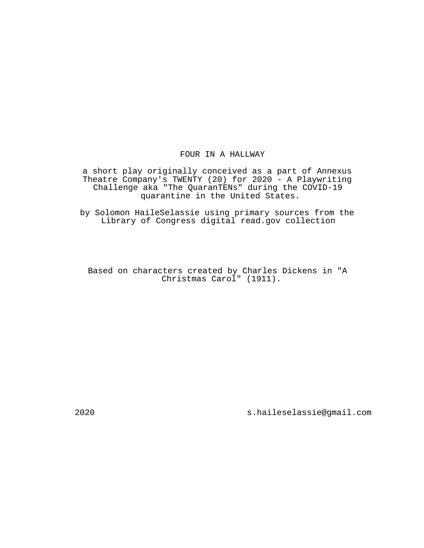# FOUR IN A HALLWAY

a short play originally conceived as a part of Annexus Theatre Company's TWENTY (20) for 2020 - A Playwriting Challenge aka "The QuaranTENs" during the COVID-19 quarantine in the United States.

by Solomon HaileSelassie using primary sources from the Library of Congress digital read.gov collection

Based on characters created by Charles Dickens in "A Christmas Carol" (1911).

2020 s.haileselassie@gmail.com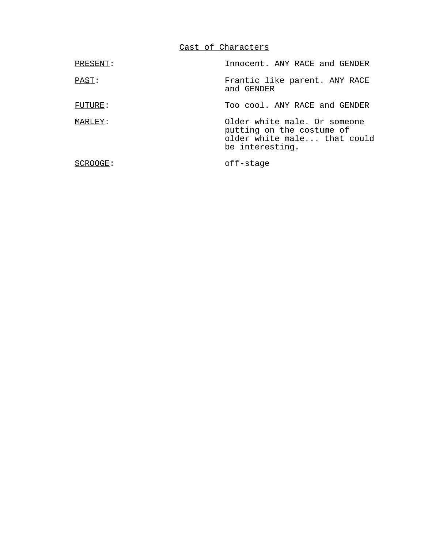Cast of Characters

| PRESENT: | Innocent. ANY RACE and GENDER                                                                               |
|----------|-------------------------------------------------------------------------------------------------------------|
| PAST:    | Frantic like parent. ANY RACE<br>and GENDER                                                                 |
| FUTURE:  | Too cool. ANY RACE and GENDER                                                                               |
| MARLEY:  | Older white male. Or someone<br>putting on the costume of<br>older white male that could<br>be interesting. |
| SCROOGE: | off-stage                                                                                                   |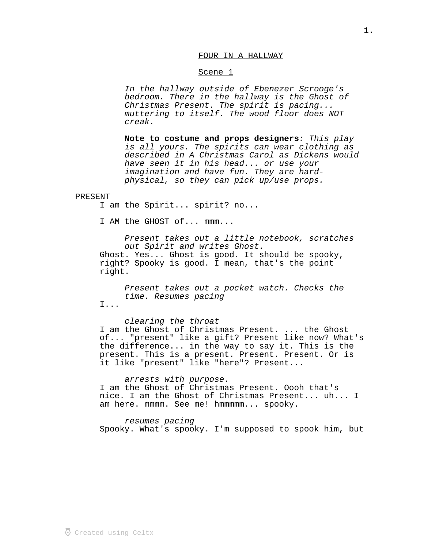### FOUR IN A HALLWAY

### Scene 1

In the hallway outside of Ebenezer Scrooge's bedroom. There in the hallway is the Ghost of Christmas Present. The spirit is pacing... muttering to itself. The wood floor does NOT creak.

Note to costume and props designers: This play is all yours. The spirits can wear clothing as described in A Christmas Carol as Dickens would have seen it in his head... or use your imagination and have fun. They are hardphysical, so they can pick up/use props.

### PRESENT

I am the Spirit... spirit? no...

I AM the GHOST of... mmm...

Present takes out a little notebook, scratches out Spirit and writes Ghost. Ghost. Yes... Ghost is good. It should be spooky, right? Spooky is good. I mean, that's the point right.

Present takes out a pocket watch. Checks the time. Resumes pacing

I...

clearing the throat I am the Ghost of Christmas Present. ... the Ghost of... "present" like a gift? Present like now? What's the difference... in the way to say it. This is the present. This is a present. Present. Present. Or is it like "present" like "here"? Present...

arrests with purpose. I am the Ghost of Christmas Present. Oooh that's nice. I am the Ghost of Christmas Present... uh... I am here. mmmm. See me! hmmmmm... spooky.

resumes pacing Spooky. What's spooky. I'm supposed to spook him, but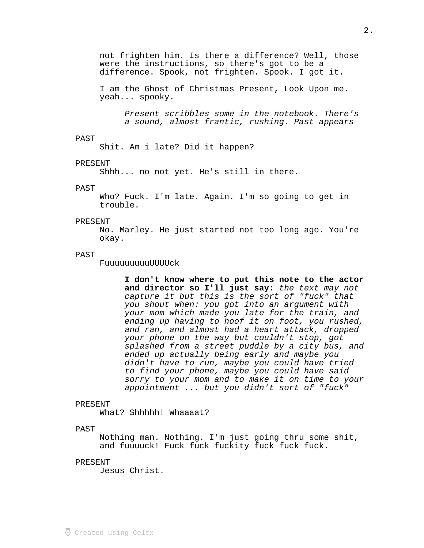not frighten him. Is there a difference? Well, those were the instructions, so there's got to be a difference. Spook, not frighten. Spook. I got it.

I am the Ghost of Christmas Present, Look Upon me. yeah... spooky.

> Present scribbles some in the notebook. There's a sound, almost frantic, rushing. Past appears

#### PAST

Shit. Am i late? Did it happen?

## PRESENT

Shhh... no not yet. He's still in there.

#### PAST

Who? Fuck. I'm late. Again. I'm so going to get in trouble.

### PRESENT

No. Marley. He just started not too long ago. You're okay.

# PAST

FuuuuuuuuuUUUUck

 **I don't know where to put this note to the actor**  and director so I'll just say: the text may not capture it but this is the sort of "fuck" that you shout when: you got into an argument with your mom which made you late for the train, and ending up having to hoof it on foot, you rushed, and ran, and almost had a heart attack, dropped your phone on the way but couldn't stop, got splashed from a street puddle by a city bus, and ended up actually being early and maybe you didn't have to run, maybe you could have tried to find your phone, maybe you could have said sorry to your mom and to make it on time to your appointment ... but you didn't sort of "fuck"

### PRESENT

What? Shhhhh! Whaaaat?

#### PAST

Nothing man. Nothing. I'm just going thru some shit, and fuuuuck! Fuck fuck fuckity fuck fuck fuck.

#### PRESENT

Jesus Christ.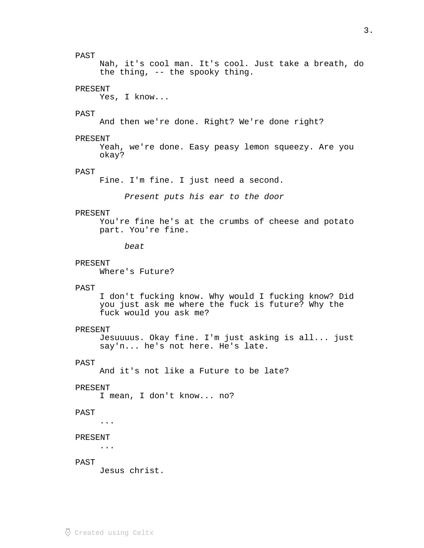# PAST

Nah, it's cool man. It's cool. Just take a breath, do the thing, -- the spooky thing.

### PRESENT

Yes, I know...

### PAST

And then we're done. Right? We're done right?

#### PRESENT

Yeah, we're done. Easy peasy lemon squeezy. Are you okay?

# PAST

Fine. I'm fine. I just need a second.

Present puts his ear to the door

### PRESENT

You're fine he's at the crumbs of cheese and potato part. You're fine.

beat

### PRESENT

Where's Future?

### PAST

I don't fucking know. Why would I fucking know? Did you just ask me where the fuck is future? Why the fuck would you ask me?

### PRESENT

Jesuuuus. Okay fine. I'm just asking is all... just say'n... he's not here. He's late.

### PAST

And it's not like a Future to be late?

#### PRESENT

I mean, I don't know... no?

### PAST

...

### PRESENT

...

# PAST

Jesus christ.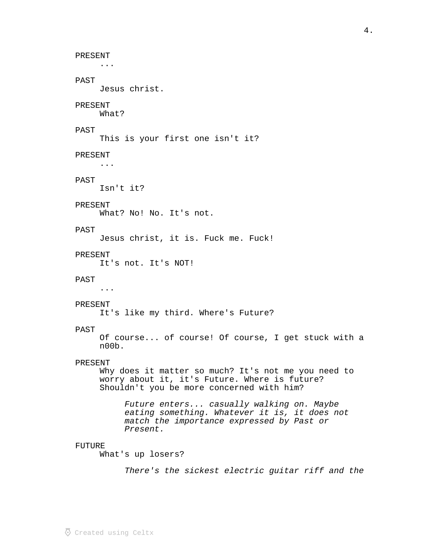PRESENT ... PAST Jesus christ. PRESENT What? PAST This is your first one isn't it? PRESENT ... PAST Isn't it? PRESENT What? No! No. It's not. PAST Jesus christ, it is. Fuck me. Fuck! PRESENT It's not. It's NOT! PAST ... PRESENT It's like my third. Where's Future? PAST Of course... of course! Of course, I get stuck with a n00b. PRESENT Why does it matter so much? It's not me you need to worry about it, it's Future. Where is future? Shouldn't you be more concerned with him? Future enters... casually walking on. Maybe eating something. Whatever it is, it does not match the importance expressed by Past or Present. FUTURE What's up losers? There's the sickest electric guitar riff and the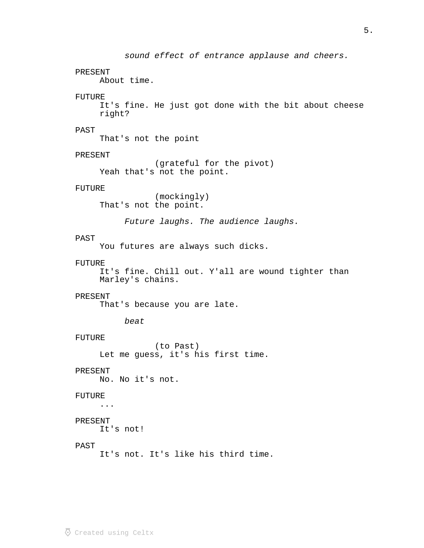sound effect of entrance applause and cheers. PRESENT About time. FUTURE It's fine. He just got done with the bit about cheese right? PAST That's not the point PRESENT (grateful for the pivot) Yeah that's not the point. FUTURE (mockingly) That's not the point. Future laughs. The audience laughs. PAST You futures are always such dicks. FUTURE It's fine. Chill out. Y'all are wound tighter than Marley's chains. PRESENT That's because you are late. beat FUTURE (to Past) Let me guess, it's his first time. PRESENT No. No it's not. FUTURE ... PRESENT It's not! PAST It's not. It's like his third time.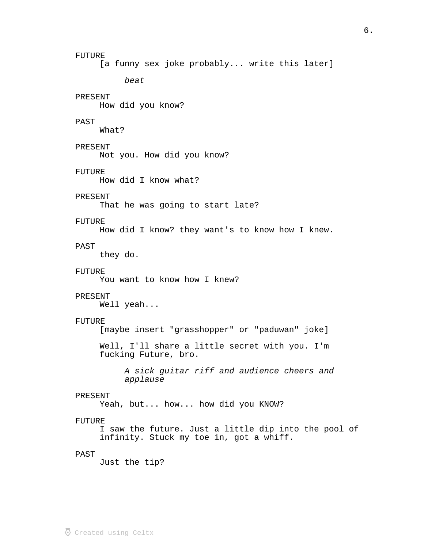FUTURE [a funny sex joke probably... write this later] beat PRESENT How did you know? PAST What? PRESENT Not you. How did you know? FUTURE How did I know what? PRESENT That he was going to start late? FUTURE How did I know? they want's to know how I knew. PAST they do. FUTURE You want to know how I knew? PRESENT Well yeah... FUTURE [maybe insert "grasshopper" or "paduwan" joke] Well, I'll share a little secret with you. I'm fucking Future, bro. A sick guitar riff and audience cheers and applause PRESENT Yeah, but... how... how did you KNOW? FUTURE I saw the future. Just a little dip into the pool of infinity. Stuck my toe in, got a whiff. PAST Just the tip?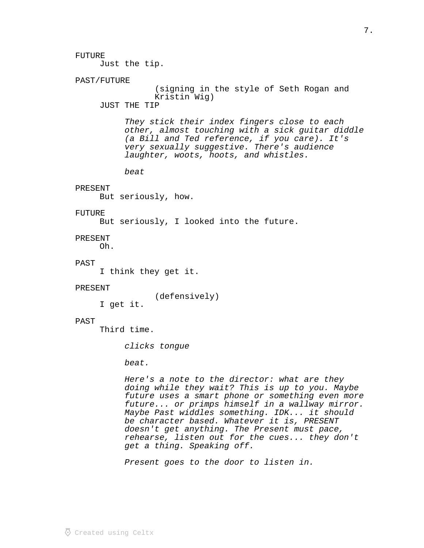Just the tip.

### PAST/FUTURE

(signing in the style of Seth Rogan and Kristin Wig)

JUST THE TIP

They stick their index fingers close to each other, almost touching with a sick guitar diddle (a Bill and Ted reference, if you care). It's very sexually suggestive. There's audience laughter, woots, hoots, and whistles.

beat

### PRESENT

But seriously, how.

# FUTURE

But seriously, I looked into the future.

#### PRESENT

Oh.

### PAST

I think they get it.

#### PRESENT

(defensively)

I get it.

#### PAST

Third time.

clicks tongue

beat.

Here's a note to the director: what are they doing while they wait? This is up to you. Maybe future uses a smart phone or something even more future... or primps himself in a wallway mirror. Maybe Past widdles something. IDK... it should be character based. Whatever it is, PRESENT doesn't get anything. The Present must pace, rehearse, listen out for the cues... they don't get a thing. Speaking off.

Present goes to the door to listen in.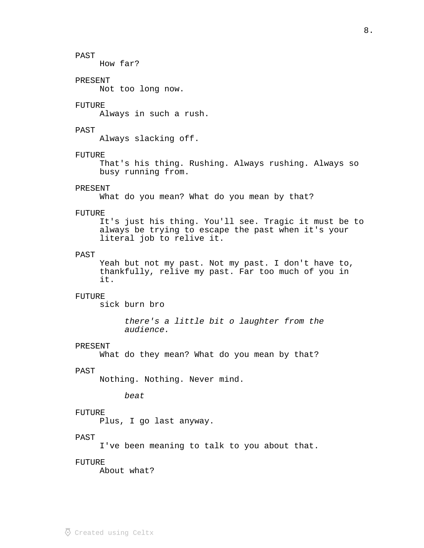# PAST

How far?

### PRESENT

Not too long now.

### FUTURE

Always in such a rush.

### PAST

Always slacking off.

### FUTURE

That's his thing. Rushing. Always rushing. Always so busy running from.

### PRESENT

What do you mean? What do you mean by that?

### FUTURE

It's just his thing. You'll see. Tragic it must be to always be trying to escape the past when it's your literal job to relive it.

# PAST

Yeah but not my past. Not my past. I don't have to, thankfully, relive my past. Far too much of you in it.

### FUTURE

sick burn bro

there's a little bit o laughter from the audience.

### PRESENT

What do they mean? What do you mean by that?

### PAST

Nothing. Nothing. Never mind.

beat

#### FUTURE

Plus, I go last anyway.

### PAST

I've been meaning to talk to you about that.

#### FUTURE

About what?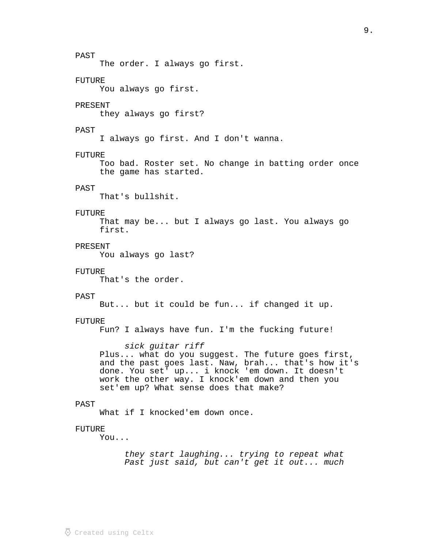PAST The order. I always go first. FUTURE You always go first. PRESENT they always go first? PAST I always go first. And I don't wanna. FUTURE Too bad. Roster set. No change in batting order once the game has started. PAST That's bullshit. FUTURE That may be... but I always go last. You always go first. PRESENT You always go last? FUTURE That's the order. PAST But... but it could be fun... if changed it up. FUTURE Fun? I always have fun. I'm the fucking future! sick guitar riff Plus... what do you suggest. The future goes first, and the past goes last. Naw, brah... that's how it's done. You set' up... i knock 'em down. It doesn't work the other way. I knock'em down and then you set'em up? What sense does that make? PAST What if I knocked'em down once. FUTURE You... they start laughing... trying to repeat what Past just said, but can't get it out... much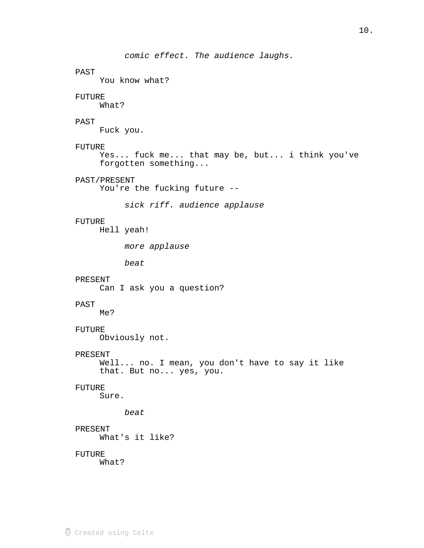```
comic effect. The audience laughs.
PAST
     You know what?
FUTURE
     What?
PAST
     Fuck you.
FUTURE
     Yes... fuck me... that may be, but... i think you've 
     forgotten something...
PAST/PRESENT
     You're the fucking future --
          sick riff. audience applause
FUTURE
     Hell yeah!
          more applause
          beat
PRESENT
     Can I ask you a question?
PAST
    Me?
FUTURE
     Obviously not.
PRESENT
     Well... no. I mean, you don't have to say it like 
     that. But no... yes, you.
FUTURE
     Sure.
          beat
PRESENT
     What's it like?
FUTURE
     What?
```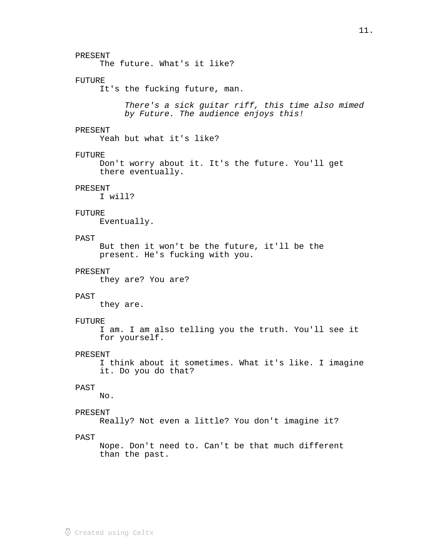### PRESENT

The future. What's it like?

### FUTURE

It's the fucking future, man.

There's a sick guitar riff, this time also mimed by Future. The audience enjoys this!

### PRESENT

Yeah but what it's like?

### FUTURE

Don't worry about it. It's the future. You'll get there eventually.

### PRESENT

I will?

# FUTURE

Eventually.

# PAST

But then it won't be the future, it'll be the present. He's fucking with you.

#### PRESENT

they are? You are?

## PAST

they are.

#### FUTURE

I am. I am also telling you the truth. You'll see it for yourself.

# PRESENT

I think about it sometimes. What it's like. I imagine it. Do you do that?

# PAST

No.

### PRESENT

Really? Not even a little? You don't imagine it?

# PAST

Nope. Don't need to. Can't be that much different than the past.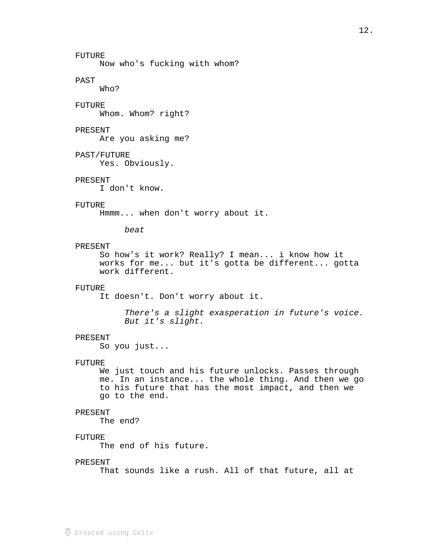### FUTURE

Now who's fucking with whom?

# PAST

Who?

# FUTURE

Whom. Whom? right?

### PRESENT

Are you asking me?

### PAST/FUTURE

Yes. Obviously.

### PRESENT

I don't know.

### FUTURE

Hmmm... when don't worry about it.

### beat

### PRESENT

So how's it work? Really? I mean... i know how it works for me... but it's gotta be different... gotta work different.

### FUTURE

It doesn't. Don't worry about it.

There's a slight exasperation in future's voice. But it's slight.

### PRESENT

So you just...

#### FUTURE

We just touch and his future unlocks. Passes through me. In an instance... the whole thing. And then we go to his future that has the most impact, and then we go to the end.

#### PRESENT

The end?

### FUTURE

The end of his future.

#### PRESENT

That sounds like a rush. All of that future, all at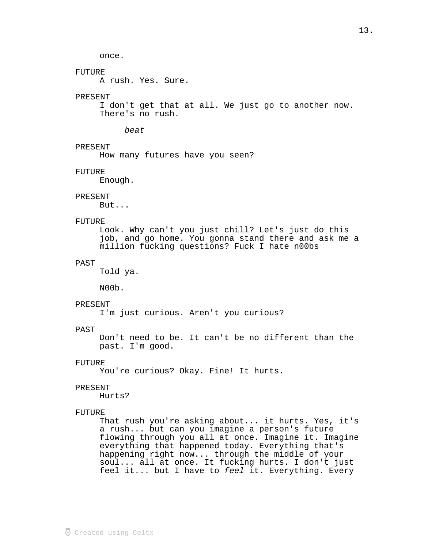once.

# FUTURE

A rush. Yes. Sure.

### PRESENT

I don't get that at all. We just go to another now. There's no rush.

### beat

PRESENT

How many futures have you seen?

### FUTURE

Enough.

### PRESENT

But...

### FUTURE

Look. Why can't you just chill? Let's just do this job, and go home. You gonna stand there and ask me a million fucking questions? Fuck I hate n00bs

# PAST

Told ya.

N00b.

# PRESENT

I'm just curious. Aren't you curious?

### PAST

Don't need to be. It can't be no different than the past. I'm good.

### FUTURE

You're curious? Okay. Fine! It hurts.

### PRESENT

Hurts?

### FUTURE

That rush you're asking about... it hurts. Yes, it's a rush... but can you imagine a person's future flowing through you all at once. Imagine it. Imagine everything that happened today. Everything that's happening right now... through the middle of your soul... all at once. It fucking hurts. I don't just feel it... but I have to feel it. Everything. Every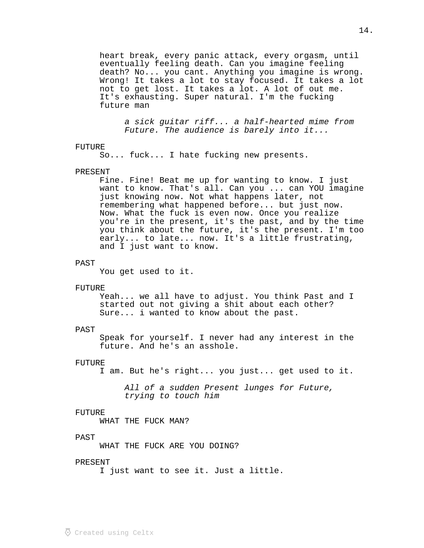heart break, every panic attack, every orgasm, until eventually feeling death. Can you imagine feeling death? No... you cant. Anything you imagine is wrong. Wrong! It takes a lot to stay focused. It takes a lot not to get lost. It takes a lot. A lot of out me. It's exhausting. Super natural. I'm the fucking future man

a sick guitar riff... a half-hearted mime from Future. The audience is barely into it...

#### FUTURE

So... fuck... I hate fucking new presents.

### PRESENT

Fine. Fine! Beat me up for wanting to know. I just want to know. That's all. Can you ... can YOU imagine just knowing now. Not what happens later, not remembering what happened before... but just now. Now. What the fuck is even now. Once you realize you're in the present, it's the past, and by the time you think about the future, it's the present. I'm too early... to late... now. It's a little frustrating, and I just want to know.

#### PAST

You get used to it.

#### FUTURE

Yeah... we all have to adjust. You think Past and I started out not giving a shit about each other? Sure... i wanted to know about the past.

#### PAST

Speak for yourself. I never had any interest in the future. And he's an asshole.

#### FUTURE

I am. But he's right... you just... get used to it.

All of a sudden Present lunges for Future, trying to touch him

#### FUTURE

WHAT THE FUCK MAN?

#### PAST

WHAT THE FUCK ARE YOU DOING?

#### PRESENT

I just want to see it. Just a little.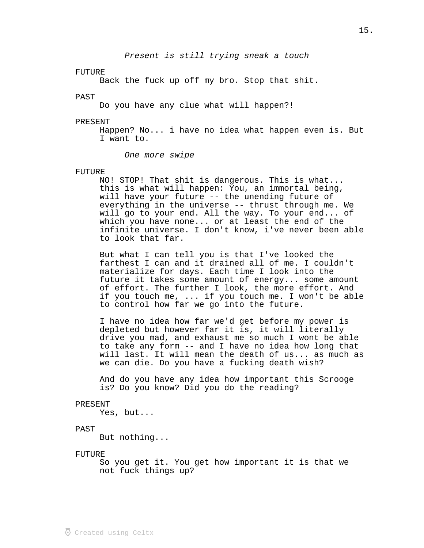Present is still trying sneak a touch

#### FUTURE

Back the fuck up off my bro. Stop that shit.

### PAST

Do you have any clue what will happen?!

#### PRESENT

Happen? No... i have no idea what happen even is. But I want to.

One more swipe

#### FUTURE

NO! STOP! That shit is dangerous. This is what... this is what will happen: You, an immortal being, will have your future -- the unending future of everything in the universe -- thrust through me. We will go to your end. All the way. To your end... of which you have none... or at least the end of the infinite universe. I don't know, i've never been able to look that far.

But what I can tell you is that I've looked the farthest I can and it drained all of me. I couldn't materialize for days. Each time I look into the future it takes some amount of energy... some amount of effort. The further I look, the more effort. And if you touch me, ... if you touch me. I won't be able to control how far we go into the future.

I have no idea how far we'd get before my power is depleted but however far it is, it will literally drive you mad, and exhaust me so much I wont be able to take any form -- and I have no idea how long that will last. It will mean the death of us... as much as we can die. Do you have a fucking death wish?

And do you have any idea how important this Scrooge is? Do you know? Did you do the reading?

#### PRESENT

Yes, but...

#### PAST

But nothing...

#### FUTURE

So you get it. You get how important it is that we not fuck things up?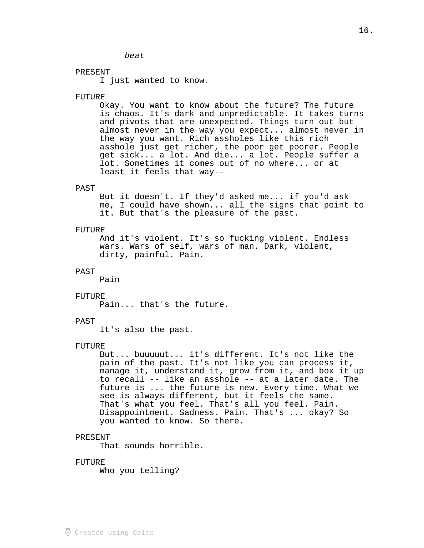### PRESENT

I just wanted to know.

beat

#### FUTURE

Okay. You want to know about the future? The future is chaos. It's dark and unpredictable. It takes turns and pivots that are unexpected. Things turn out but almost never in the way you expect... almost never in the way you want. Rich assholes like this rich asshole just get richer, the poor get poorer. People get sick... a lot. And die... a lot. People suffer a lot. Sometimes it comes out of no where... or at least it feels that way--

#### PAST

But it doesn't. If they'd asked me... if you'd ask me, I could have shown... all the signs that point to it. But that's the pleasure of the past.

#### FUTURE

And it's violent. It's so fucking violent. Endless wars. Wars of self, wars of man. Dark, violent, dirty, painful. Pain.

#### PAST

Pain

#### FUTURE

Pain... that's the future.

#### PAST

It's also the past.

#### FUTURE

But... buuuuut... it's different. It's not like the pain of the past. It's not like you can process it, manage it, understand it, grow from it, and box it up to recall -- like an asshole -- at a later date. The future is ... the future is new. Every time. What we see is always different, but it feels the same. That's what you feel. That's all you feel. Pain. Disappointment. Sadness. Pain. That's ... okay? So you wanted to know. So there.

#### PRESENT

That sounds horrible.

#### FUTURE

Who you telling?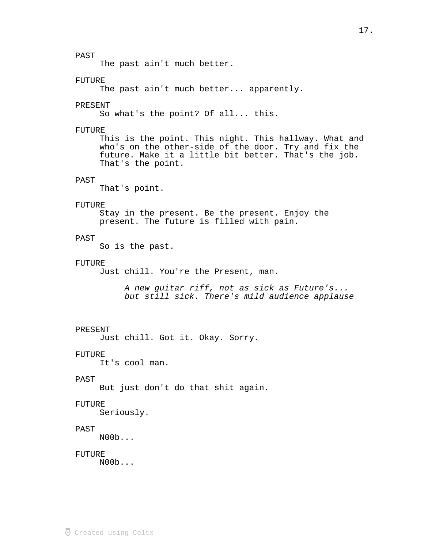### PAST

The past ain't much better.

# FUTURE

The past ain't much better... apparently.

### PRESENT

So what's the point? Of all... this.

### FUTURE

This is the point. This night. This hallway. What and who's on the other-side of the door. Try and fix the future. Make it a little bit better. That's the job. That's the point.

### PAST

That's point.

### FUTURE

Stay in the present. Be the present. Enjoy the present. The future is filled with pain.

# PAST

So is the past.

### FUTURE

Just chill. You're the Present, man.

A new guitar riff, not as sick as Future's... but still sick. There's mild audience applause

### PRESENT

Just chill. Got it. Okay. Sorry.

#### FUTURE

It's cool man.

### PAST

But just don't do that shit again.

### FUTURE

Seriously.

# PAST

N00b...

### FUTURE

N00b...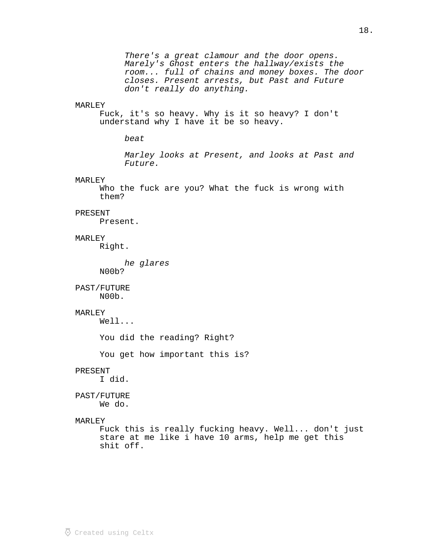There's a great clamour and the door opens. Marely's Ghost enters the hallway/exists the room... full of chains and money boxes. The door closes. Present arrests, but Past and Future don't really do anything.

#### MARLEY

Fuck, it's so heavy. Why is it so heavy? I don't understand why I have it be so heavy.

beat

Marley looks at Present, and looks at Past and Future.

#### MARLEY

Who the fuck are you? What the fuck is wrong with them?

### PRESENT

Present.

### MARLEY

Right.

he glares N00b?

PAST/FUTURE N00b.

### MARLEY

Well...

You did the reading? Right?

You get how important this is?

### PRESENT

I did.

# PAST/FUTURE

We do.

#### MARLEY

Fuck this is really fucking heavy. Well... don't just stare at me like i have 10 arms, help me get this shit off.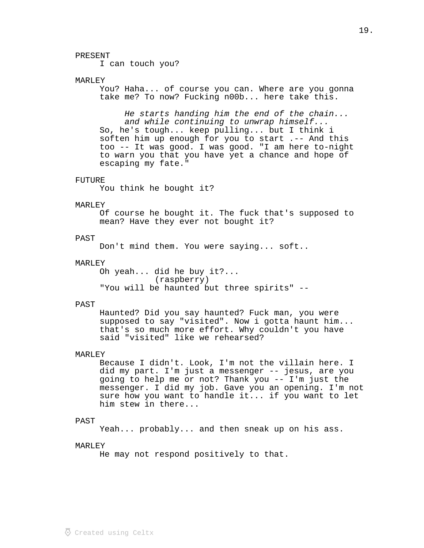#### PRESENT

I can touch you?

# MARLEY

You? Haha... of course you can. Where are you gonna take me? To now? Fucking n00b... here take this.

He starts handing him the end of the chain... and while continuing to unwrap himself... So, he's tough... keep pulling... but I think i soften him up enough for you to start .-- And this too -- It was good. I was good. "I am here to-night to warn you that you have yet a chance and hope of escaping my fate."

#### FUTURE

You think he bought it?

#### MARLEY

Of course he bought it. The fuck that's supposed to mean? Have they ever not bought it?

# PAST

Don't mind them. You were saying... soft..

### MARLEY

Oh yeah... did he buy it?... (raspberry) "You will be haunted but three spirits" --

#### PAST

Haunted? Did you say haunted? Fuck man, you were supposed to say "visited". Now i gotta haunt him... that's so much more effort. Why couldn't you have said "visited" like we rehearsed?

### MARLEY

Because I didn't. Look, I'm not the villain here. I did my part. I'm just a messenger -- jesus, are you going to help me or not? Thank you -- I'm just the messenger. I did my job. Gave you an opening. I'm not sure how you want to handle it... if you want to let him stew in there...

#### PAST

Yeah... probably... and then sneak up on his ass.

### MARLEY

He may not respond positively to that.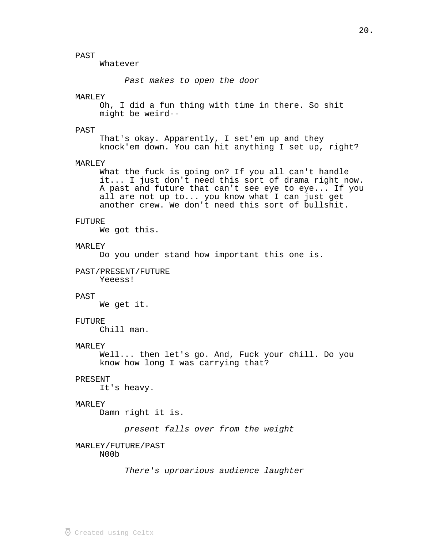# PAST

Whatever

Past makes to open the door

#### MARLEY

Oh, I did a fun thing with time in there. So shit might be weird--

### PAST

That's okay. Apparently, I set'em up and they knock'em down. You can hit anything I set up, right?

### MARLEY

What the fuck is going on? If you all can't handle it... I just don't need this sort of drama right now. A past and future that can't see eye to eye... If you all are not up to... you know what I can just get another crew. We don't need this sort of bullshit.

### FUTURE

We got this.

### MARLEY

Do you under stand how important this one is.

### PAST/PRESENT/FUTURE

Yeeess!

### PAST

We get it.

#### FUTURE

Chill man.

### MARLEY

Well... then let's go. And, Fuck your chill. Do you know how long I was carrying that?

#### PRESENT

It's heavy.

### MARLEY

Damn right it is.

present falls over from the weight

#### MARLEY/FUTURE/PAST

N00b

There's uproarious audience laughter